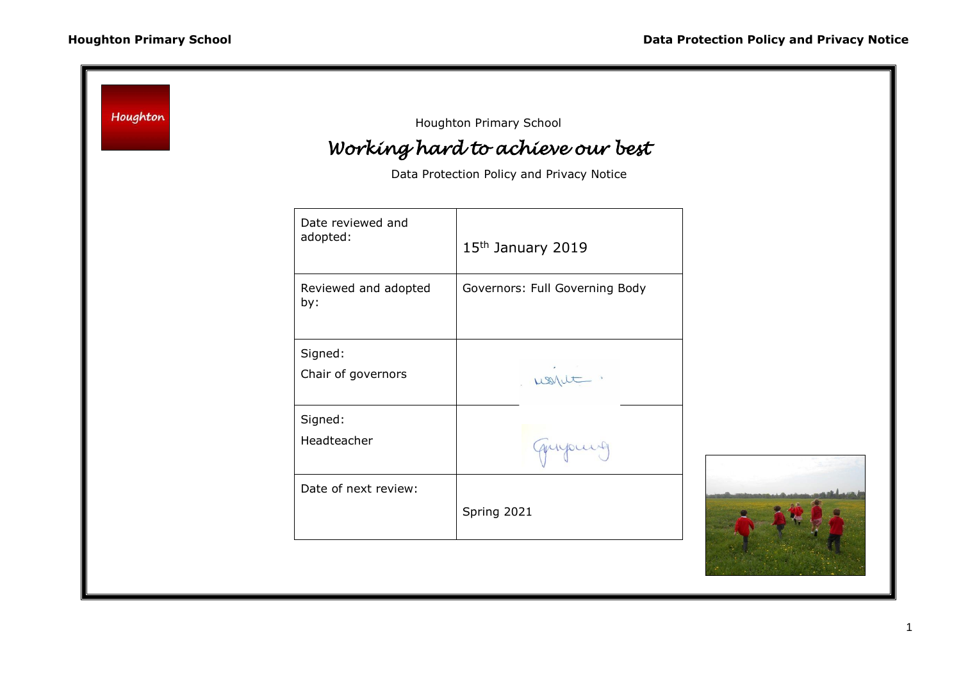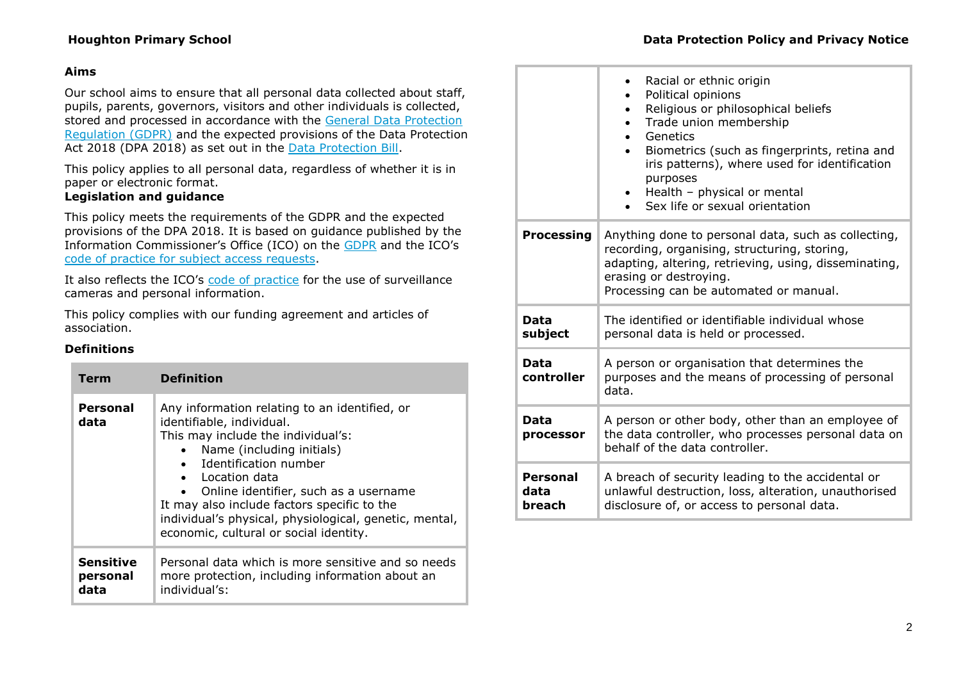#### **Aims**

Our school aims to ensure that all personal data collected about staff, pupils, parents, governors, visitors and other individuals is collected, stored and processed in accordance with the [General Data Protection](http://data.consilium.europa.eu/doc/document/ST-5419-2016-INIT/en/pdf)  [Regulation \(GDPR\)](http://data.consilium.europa.eu/doc/document/ST-5419-2016-INIT/en/pdf) and the expected provisions of the Data Protection Act 2018 (DPA 2018) as set out in the [Data Protection Bill.](https://publications.parliament.uk/pa/bills/cbill/2017-2019/0153/18153.pdf)

This policy applies to all personal data, regardless of whether it is in paper or electronic format.

## **Legislation and guidance**

This policy meets the requirements of the GDPR and the expected provisions of the DPA 2018. It is based on guidance published by the Information Commissioner's Office (ICO) on the [GDPR](https://ico.org.uk/for-organisations/guide-to-the-general-data-protection-regulation-gdpr/) and the ICO's [code of practice for subject access requests.](https://ico.org.uk/media/for-organisations/documents/2014223/subject-access-code-of-practice.pdf)

It also reflects the ICO's [code of practice](https://ico.org.uk/media/for-organisations/documents/1542/cctv-code-of-practice.pdf) for the use of surveillance cameras and personal information.

This policy complies with our funding agreement and articles of association.

#### **Definitions**

| <b>Term</b>                          | <b>Definition</b>                                                                                                                                                                                                                                                                                                                                                                                                         |
|--------------------------------------|---------------------------------------------------------------------------------------------------------------------------------------------------------------------------------------------------------------------------------------------------------------------------------------------------------------------------------------------------------------------------------------------------------------------------|
| Personal<br>data                     | Any information relating to an identified, or<br>identifiable, individual.<br>This may include the individual's:<br>Name (including initials)<br>$\bullet$<br>• Identification number<br>$\bullet$ Location data<br>Online identifier, such as a username<br>$\bullet$<br>It may also include factors specific to the<br>individual's physical, physiological, genetic, mental,<br>economic, cultural or social identity. |
| <b>Sensitive</b><br>personal<br>data | Personal data which is more sensitive and so needs<br>more protection, including information about an<br>individual's:                                                                                                                                                                                                                                                                                                    |

|                                   | Racial or ethnic origin<br>Political opinions<br>Religious or philosophical beliefs<br>٠<br>Trade union membership<br>$\bullet$<br>Genetics<br>Biometrics (such as fingerprints, retina and<br>iris patterns), where used for identification<br>purposes<br>Health - physical or mental<br>Sex life or sexual orientation |
|-----------------------------------|---------------------------------------------------------------------------------------------------------------------------------------------------------------------------------------------------------------------------------------------------------------------------------------------------------------------------|
| <b>Processing</b>                 | Anything done to personal data, such as collecting,<br>recording, organising, structuring, storing,<br>adapting, altering, retrieving, using, disseminating,<br>erasing or destroying.<br>Processing can be automated or manual.                                                                                          |
| Data<br>subject                   | The identified or identifiable individual whose<br>personal data is held or processed.                                                                                                                                                                                                                                    |
| Data<br>controller                | A person or organisation that determines the<br>purposes and the means of processing of personal<br>data.                                                                                                                                                                                                                 |
| Data<br>processor                 | A person or other body, other than an employee of<br>the data controller, who processes personal data on<br>behalf of the data controller.                                                                                                                                                                                |
| <b>Personal</b><br>data<br>breach | A breach of security leading to the accidental or<br>unlawful destruction, loss, alteration, unauthorised<br>disclosure of, or access to personal data.                                                                                                                                                                   |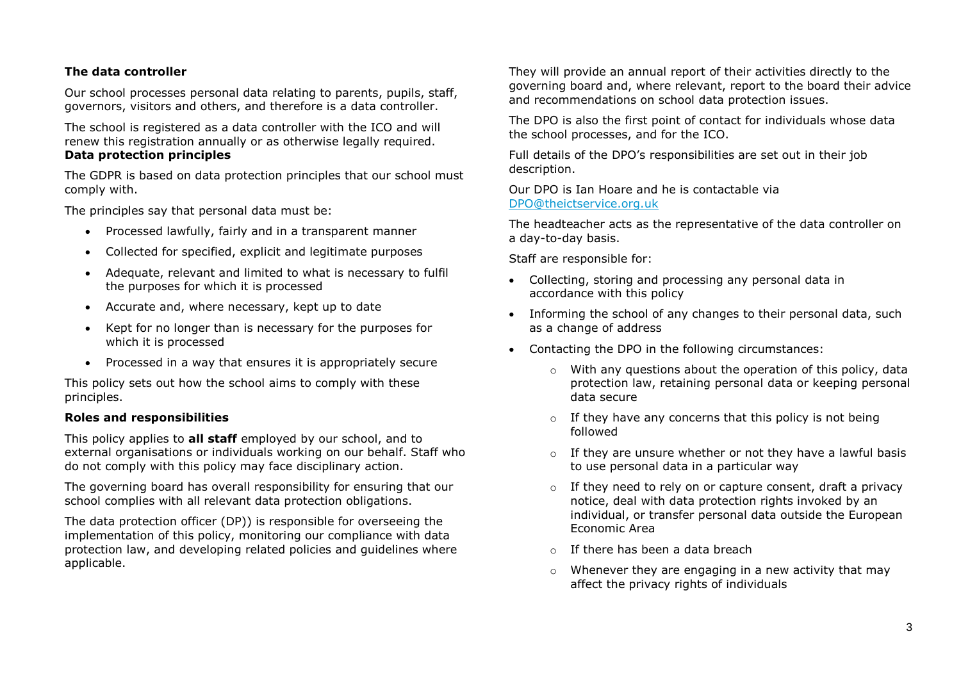## **The data controller**

Our school processes personal data relating to parents, pupils, staff, governors, visitors and others, and therefore is a data controller.

The school is registered as a data controller with the ICO and will renew this registration annually or as otherwise legally required. **Data protection principles**

The GDPR is based on data protection principles that our school must comply with.

The principles say that personal data must be:

- Processed lawfully, fairly and in a transparent manner
- Collected for specified, explicit and legitimate purposes
- Adequate, relevant and limited to what is necessary to fulfil the purposes for which it is processed
- Accurate and, where necessary, kept up to date
- Kept for no longer than is necessary for the purposes for which it is processed
- Processed in a way that ensures it is appropriately secure

This policy sets out how the school aims to comply with these principles.

# **Roles and responsibilities**

This policy applies to **all staff** employed by our school, and to external organisations or individuals working on our behalf. Staff who do not comply with this policy may face disciplinary action.

The governing board has overall responsibility for ensuring that our school complies with all relevant data protection obligations.

The data protection officer (DP)) is responsible for overseeing the implementation of this policy, monitoring our compliance with data protection law, and developing related policies and guidelines where applicable.

They will provide an annual report of their activities directly to the governing board and, where relevant, report to the board their advice and recommendations on school data protection issues.

The DPO is also the first point of contact for individuals whose data the school processes, and for the ICO.

Full details of the DPO's responsibilities are set out in their job description.

Our DPO is Ian Hoare and he is contactable via [DPO@theictservice.org.uk](mailto:DPO@theictservice.org.uk)

The headteacher acts as the representative of the data controller on a day-to-day basis.

Staff are responsible for:

- Collecting, storing and processing any personal data in accordance with this policy
- Informing the school of any changes to their personal data, such as a change of address
- Contacting the DPO in the following circumstances:
	- o With any questions about the operation of this policy, data protection law, retaining personal data or keeping personal data secure
	- $\circ$  If they have any concerns that this policy is not being followed
	- $\circ$  If they are unsure whether or not they have a lawful basis to use personal data in a particular way
	- o If they need to rely on or capture consent, draft a privacy notice, deal with data protection rights invoked by an individual, or transfer personal data outside the European Economic Area
	- o If there has been a data breach
	- o Whenever they are engaging in a new activity that may affect the privacy rights of individuals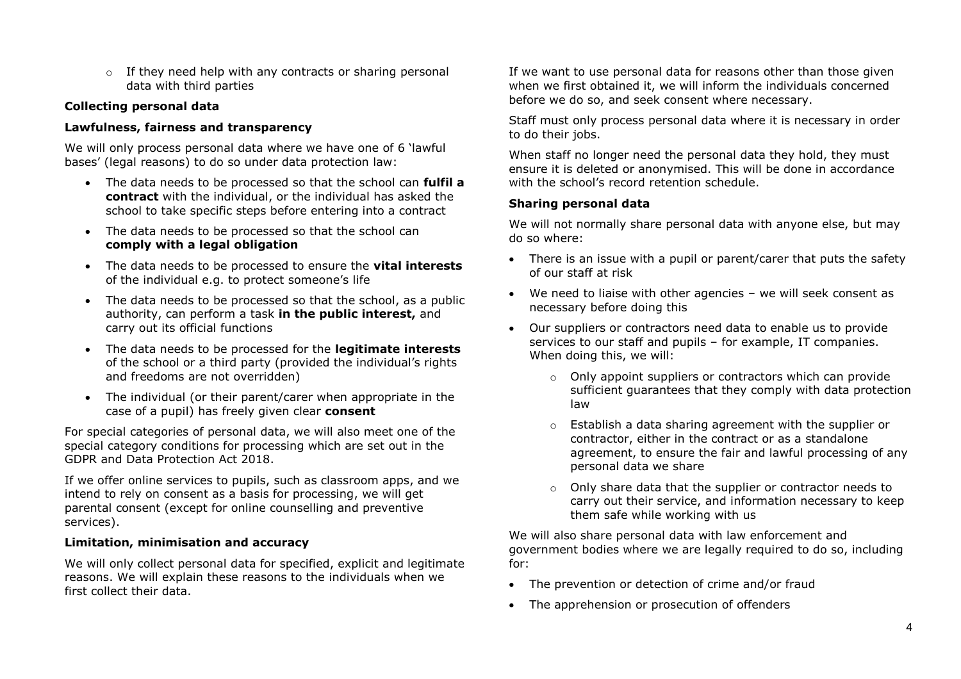o If they need help with any contracts or sharing personal data with third parties

#### **Collecting personal data**

#### **Lawfulness, fairness and transparency**

We will only process personal data where we have one of 6 'lawful bases' (legal reasons) to do so under data protection law:

- The data needs to be processed so that the school can **fulfil a contract** with the individual, or the individual has asked the school to take specific steps before entering into a contract
- The data needs to be processed so that the school can **comply with a legal obligation**
- The data needs to be processed to ensure the **vital interests** of the individual e.g. to protect someone's life
- The data needs to be processed so that the school, as a public authority, can perform a task **in the public interest,** and carry out its official functions
- The data needs to be processed for the **legitimate interests**  of the school or a third party (provided the individual's rights and freedoms are not overridden)
- The individual (or their parent/carer when appropriate in the case of a pupil) has freely given clear **consent**

For special categories of personal data, we will also meet one of the special category conditions for processing which are set out in the GDPR and Data Protection Act 2018.

If we offer online services to pupils, such as classroom apps, and we intend to rely on consent as a basis for processing, we will get parental consent (except for online counselling and preventive services).

## **Limitation, minimisation and accuracy**

We will only collect personal data for specified, explicit and legitimate reasons. We will explain these reasons to the individuals when we first collect their data.

If we want to use personal data for reasons other than those given when we first obtained it, we will inform the individuals concerned before we do so, and seek consent where necessary.

Staff must only process personal data where it is necessary in order to do their jobs.

When staff no longer need the personal data they hold, they must ensure it is deleted or anonymised. This will be done in accordance with the school's record retention schedule.

## **Sharing personal data**

We will not normally share personal data with anyone else, but may do so where:

- There is an issue with a pupil or parent/carer that puts the safety of our staff at risk
- We need to liaise with other agencies we will seek consent as necessary before doing this
- Our suppliers or contractors need data to enable us to provide services to our staff and pupils – for example, IT companies. When doing this, we will:
	- o Only appoint suppliers or contractors which can provide sufficient guarantees that they comply with data protection law
	- o Establish a data sharing agreement with the supplier or contractor, either in the contract or as a standalone agreement, to ensure the fair and lawful processing of any personal data we share
	- o Only share data that the supplier or contractor needs to carry out their service, and information necessary to keep them safe while working with us

We will also share personal data with law enforcement and government bodies where we are legally required to do so, including for:

- The prevention or detection of crime and/or fraud
- The apprehension or prosecution of offenders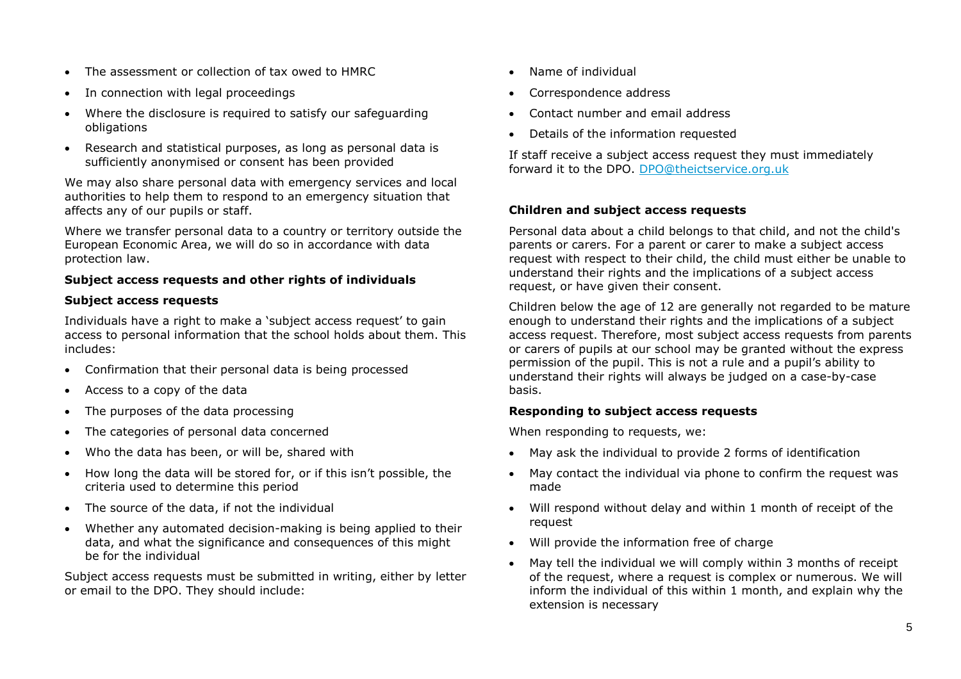- The assessment or collection of tax owed to HMRC.
- In connection with legal proceedings
- Where the disclosure is required to satisfy our safeguarding obligations
- Research and statistical purposes, as long as personal data is sufficiently anonymised or consent has been provided

We may also share personal data with emergency services and local authorities to help them to respond to an emergency situation that affects any of our pupils or staff.

Where we transfer personal data to a country or territory outside the European Economic Area, we will do so in accordance with data protection law.

# **Subject access requests and other rights of individuals**

## **Subject access requests**

Individuals have a right to make a 'subject access request' to gain access to personal information that the school holds about them. This includes:

- Confirmation that their personal data is being processed
- Access to a copy of the data
- The purposes of the data processing
- The categories of personal data concerned
- Who the data has been, or will be, shared with
- How long the data will be stored for, or if this isn't possible, the criteria used to determine this period
- The source of the data, if not the individual
- Whether any automated decision-making is being applied to their data, and what the significance and consequences of this might be for the individual

Subject access requests must be submitted in writing, either by letter or email to the DPO. They should include:

- Name of individual
- Correspondence address
- Contact number and email address
- Details of the information requested

If staff receive a subject access request they must immediately forward it to the DPO. [DPO@theictservice.org.uk](mailto:DPO@theictservice.org.uk)

#### **Children and subject access requests**

Personal data about a child belongs to that child, and not the child's parents or carers. For a parent or carer to make a subject access request with respect to their child, the child must either be unable to understand their rights and the implications of a subject access request, or have given their consent.

Children below the age of 12 are generally not regarded to be mature enough to understand their rights and the implications of a subject access request. Therefore, most subject access requests from parents or carers of pupils at our school may be granted without the express permission of the pupil. This is not a rule and a pupil's ability to understand their rights will always be judged on a case-by-case basis.

#### **Responding to subject access requests**

When responding to requests, we:

- May ask the individual to provide 2 forms of identification
- May contact the individual via phone to confirm the request was made
- Will respond without delay and within 1 month of receipt of the request
- Will provide the information free of charge
- May tell the individual we will comply within 3 months of receipt of the request, where a request is complex or numerous. We will inform the individual of this within 1 month, and explain why the extension is necessary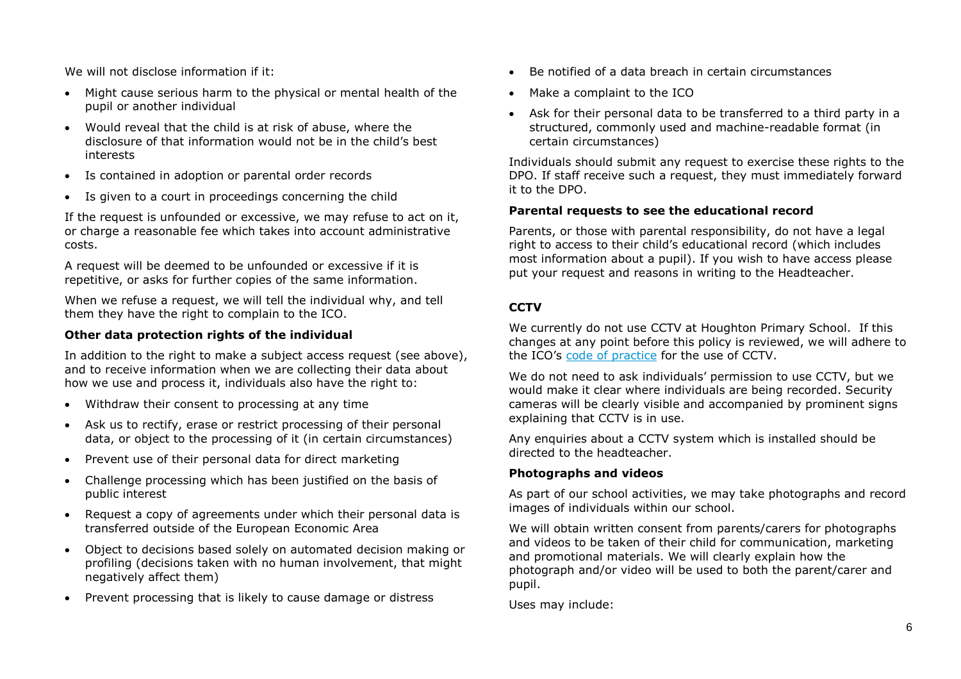We will not disclose information if it:

- Might cause serious harm to the physical or mental health of the pupil or another individual
- Would reveal that the child is at risk of abuse, where the disclosure of that information would not be in the child's best interests
- Is contained in adoption or parental order records
- Is given to a court in proceedings concerning the child

If the request is unfounded or excessive, we may refuse to act on it, or charge a reasonable fee which takes into account administrative costs.

A request will be deemed to be unfounded or excessive if it is repetitive, or asks for further copies of the same information.

When we refuse a request, we will tell the individual why, and tell them they have the right to complain to the ICO.

# **Other data protection rights of the individual**

In addition to the right to make a subject access request (see above), and to receive information when we are collecting their data about how we use and process it, individuals also have the right to:

- Withdraw their consent to processing at any time
- Ask us to rectify, erase or restrict processing of their personal data, or object to the processing of it (in certain circumstances)
- Prevent use of their personal data for direct marketing
- Challenge processing which has been justified on the basis of public interest
- Request a copy of agreements under which their personal data is transferred outside of the European Economic Area
- Object to decisions based solely on automated decision making or profiling (decisions taken with no human involvement, that might negatively affect them)
- Prevent processing that is likely to cause damage or distress
- Be notified of a data breach in certain circumstances
- Make a complaint to the ICO
- Ask for their personal data to be transferred to a third party in a structured, commonly used and machine-readable format (in certain circumstances)

Individuals should submit any request to exercise these rights to the DPO. If staff receive such a request, they must immediately forward it to the DPO.

## **Parental requests to see the educational record**

Parents, or those with parental responsibility, do not have a legal right to access to their child's educational record (which includes most information about a pupil). If you wish to have access please put your request and reasons in writing to the Headteacher.

# **CCTV**

We currently do not use CCTV at Houghton Primary School. If this changes at any point before this policy is reviewed, we will adhere to the ICO's [code of practice](https://ico.org.uk/media/for-organisations/documents/1542/cctv-code-of-practice.pdf) for the use of CCTV.

We do not need to ask individuals' permission to use CCTV, but we would make it clear where individuals are being recorded. Security cameras will be clearly visible and accompanied by prominent signs explaining that CCTV is in use.

Any enquiries about a CCTV system which is installed should be directed to the headteacher.

## **Photographs and videos**

As part of our school activities, we may take photographs and record images of individuals within our school.

We will obtain written consent from parents/carers for photographs and videos to be taken of their child for communication, marketing and promotional materials. We will clearly explain how the photograph and/or video will be used to both the parent/carer and pupil.

Uses may include: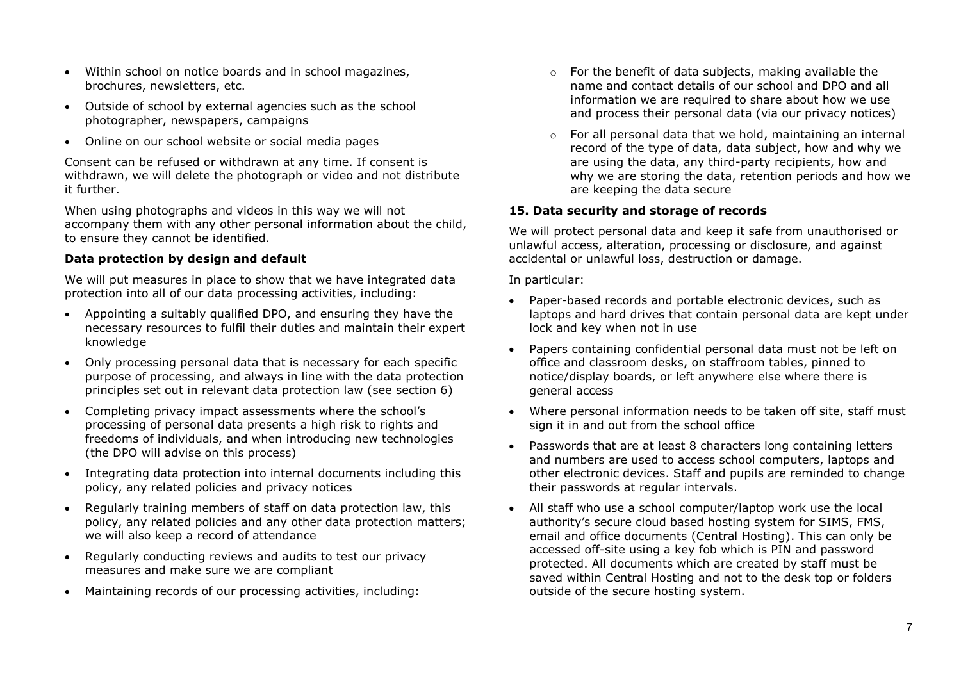- Within school on notice boards and in school magazines, brochures, newsletters, etc.
- Outside of school by external agencies such as the school photographer, newspapers, campaigns
- Online on our school website or social media pages

Consent can be refused or withdrawn at any time. If consent is withdrawn, we will delete the photograph or video and not distribute it further.

When using photographs and videos in this way we will not accompany them with any other personal information about the child, to ensure they cannot be identified.

# **Data protection by design and default**

We will put measures in place to show that we have integrated data protection into all of our data processing activities, including:

- Appointing a suitably qualified DPO, and ensuring they have the necessary resources to fulfil their duties and maintain their expert knowledge
- Only processing personal data that is necessary for each specific purpose of processing, and always in line with the data protection principles set out in relevant data protection law (see section 6)
- Completing privacy impact assessments where the school's processing of personal data presents a high risk to rights and freedoms of individuals, and when introducing new technologies (the DPO will advise on this process)
- Integrating data protection into internal documents including this policy, any related policies and privacy notices
- Regularly training members of staff on data protection law, this policy, any related policies and any other data protection matters; we will also keep a record of attendance
- Regularly conducting reviews and audits to test our privacy measures and make sure we are compliant
- Maintaining records of our processing activities, including:
- $\circ$  For the benefit of data subjects, making available the name and contact details of our school and DPO and all information we are required to share about how we use and process their personal data (via our privacy notices)
- o For all personal data that we hold, maintaining an internal record of the type of data, data subject, how and why we are using the data, any third-party recipients, how and why we are storing the data, retention periods and how we are keeping the data secure

# **15. Data security and storage of records**

We will protect personal data and keep it safe from unauthorised or unlawful access, alteration, processing or disclosure, and against accidental or unlawful loss, destruction or damage.

In particular:

- Paper-based records and portable electronic devices, such as laptops and hard drives that contain personal data are kept under lock and key when not in use
- Papers containing confidential personal data must not be left on office and classroom desks, on staffroom tables, pinned to notice/display boards, or left anywhere else where there is general access
- Where personal information needs to be taken off site, staff must sign it in and out from the school office
- Passwords that are at least 8 characters long containing letters and numbers are used to access school computers, laptops and other electronic devices. Staff and pupils are reminded to change their passwords at regular intervals.
- All staff who use a school computer/laptop work use the local authority's secure cloud based hosting system for SIMS, FMS, email and office documents (Central Hosting). This can only be accessed off-site using a key fob which is PIN and password protected. All documents which are created by staff must be saved within Central Hosting and not to the desk top or folders outside of the secure hosting system.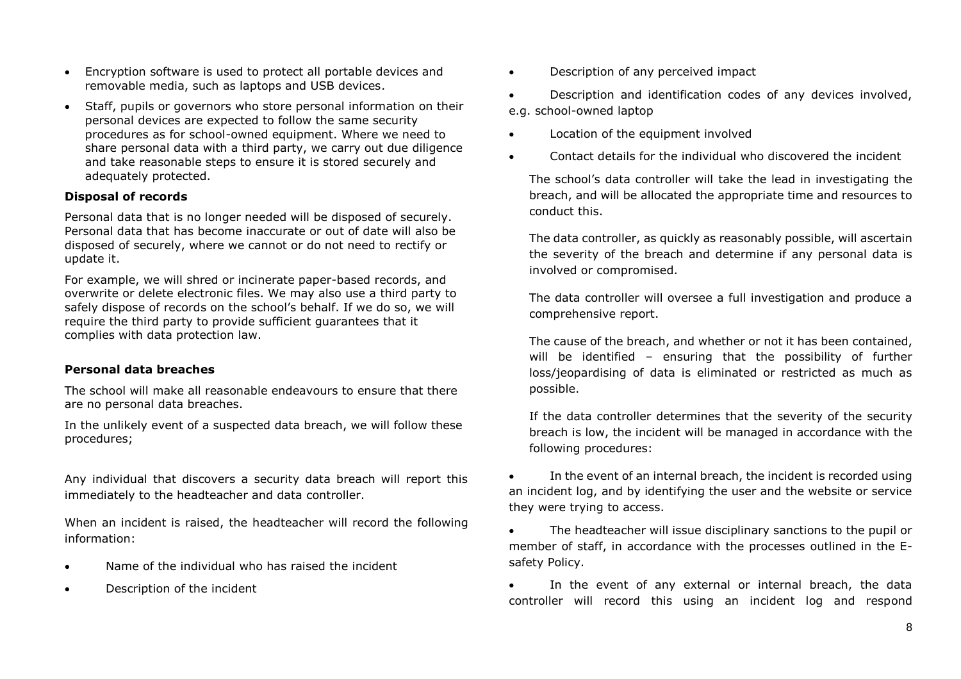- Encryption software is used to protect all portable devices and removable media, such as laptops and USB devices.
- Staff, pupils or governors who store personal information on their personal devices are expected to follow the same security procedures as for school-owned equipment. Where we need to share personal data with a third party, we carry out due diligence and take reasonable steps to ensure it is stored securely and adequately protected.

## **Disposal of records**

Personal data that is no longer needed will be disposed of securely. Personal data that has become inaccurate or out of date will also be disposed of securely, where we cannot or do not need to rectify or update it.

For example, we will shred or incinerate paper-based records, and overwrite or delete electronic files. We may also use a third party to safely dispose of records on the school's behalf. If we do so, we will require the third party to provide sufficient guarantees that it complies with data protection law.

#### **Personal data breaches**

The school will make all reasonable endeavours to ensure that there are no personal data breaches.

In the unlikely event of a suspected data breach, we will follow these procedures;

Any individual that discovers a security data breach will report this immediately to the headteacher and data controller.

When an incident is raised, the headteacher will record the following information:

- Name of the individual who has raised the incident
- Description of the incident

• Description of any perceived impact

 Description and identification codes of any devices involved, e.g. school-owned laptop

- Location of the equipment involved
- Contact details for the individual who discovered the incident

The school's data controller will take the lead in investigating the breach, and will be allocated the appropriate time and resources to conduct this.

The data controller, as quickly as reasonably possible, will ascertain the severity of the breach and determine if any personal data is involved or compromised.

The data controller will oversee a full investigation and produce a comprehensive report.

The cause of the breach, and whether or not it has been contained, will be identified – ensuring that the possibility of further loss/jeopardising of data is eliminated or restricted as much as possible.

If the data controller determines that the severity of the security breach is low, the incident will be managed in accordance with the following procedures:

- In the event of an internal breach, the incident is recorded using an incident log, and by identifying the user and the website or service they were trying to access.
- The headteacher will issue disciplinary sanctions to the pupil or member of staff, in accordance with the processes outlined in the Esafety Policy.

 In the event of any external or internal breach, the data controller will record this using an incident log and respond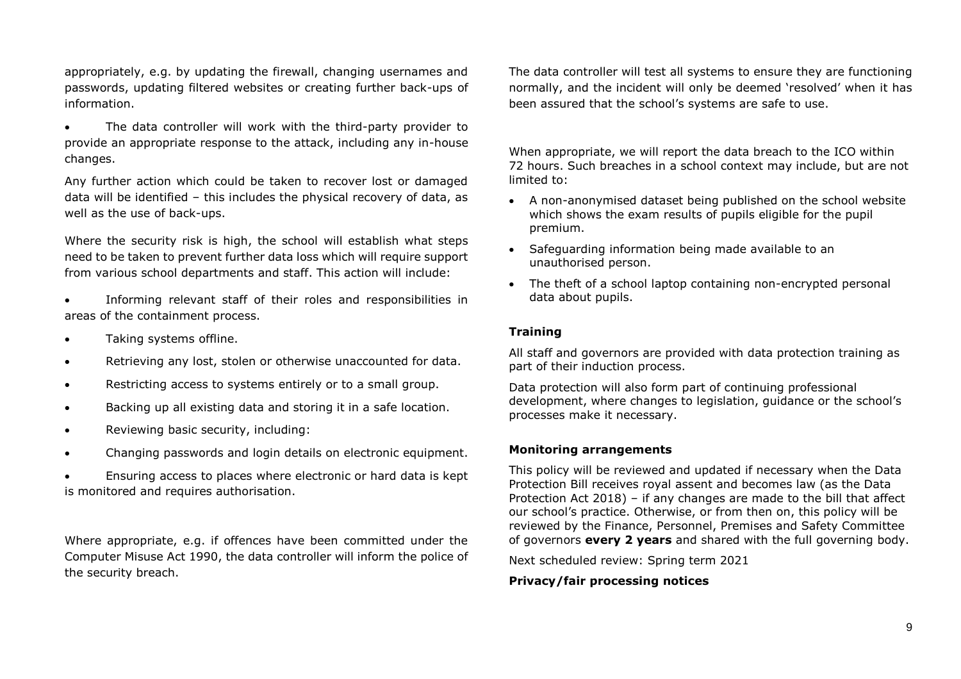appropriately, e.g. by updating the firewall, changing usernames and passwords, updating filtered websites or creating further back-ups of information.

 The data controller will work with the third-party provider to provide an appropriate response to the attack, including any in-house changes.

Any further action which could be taken to recover lost or damaged data will be identified – this includes the physical recovery of data, as well as the use of back-ups.

Where the security risk is high, the school will establish what steps need to be taken to prevent further data loss which will require support from various school departments and staff. This action will include:

 Informing relevant staff of their roles and responsibilities in areas of the containment process.

- Taking systems offline.
- Retrieving any lost, stolen or otherwise unaccounted for data.
- Restricting access to systems entirely or to a small group.
- Backing up all existing data and storing it in a safe location.
- Reviewing basic security, including:
- Changing passwords and login details on electronic equipment.

 Ensuring access to places where electronic or hard data is kept is monitored and requires authorisation.

Where appropriate, e.g. if offences have been committed under the Computer Misuse Act 1990, the data controller will inform the police of the security breach.

The data controller will test all systems to ensure they are functioning normally, and the incident will only be deemed 'resolved' when it has been assured that the school's systems are safe to use.

When appropriate, we will report the data breach to the ICO within 72 hours. Such breaches in a school context may include, but are not limited to:

- A non-anonymised dataset being published on the school website which shows the exam results of pupils eligible for the pupil premium.
- Safeguarding information being made available to an unauthorised person.
- The theft of a school laptop containing non-encrypted personal data about pupils.

## **Training**

All staff and governors are provided with data protection training as part of their induction process.

Data protection will also form part of continuing professional development, where changes to legislation, guidance or the school's processes make it necessary.

#### **Monitoring arrangements**

This policy will be reviewed and updated if necessary when the Data Protection Bill receives royal assent and becomes law (as the Data Protection Act 2018) – if any changes are made to the bill that affect our school's practice. Otherwise, or from then on, this policy will be reviewed by the Finance, Personnel, Premises and Safety Committee of governors **every 2 years** and shared with the full governing body.

Next scheduled review: Spring term 2021

#### **Privacy/fair processing notices**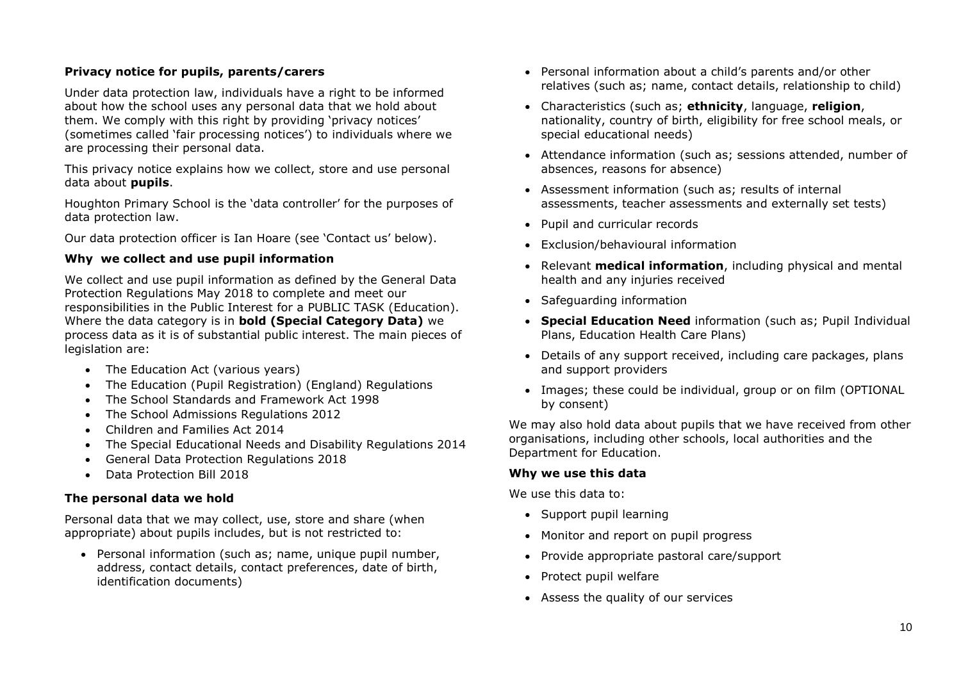# **Privacy notice for pupils, parents/carers**

Under data protection law, individuals have a right to be informed about how the school uses any personal data that we hold about them. We comply with this right by providing 'privacy notices' (sometimes called 'fair processing notices') to individuals where we are processing their personal data.

This privacy notice explains how we collect, store and use personal data about **pupils**.

Houghton Primary School is the 'data controller' for the purposes of data protection law.

Our data protection officer is Ian Hoare (see 'Contact us' below).

# **Why we collect and use pupil information**

We collect and use pupil information as defined by the General Data Protection Regulations May 2018 to complete and meet our responsibilities in the Public Interest for a PUBLIC TASK (Education). Where the data category is in **bold (Special Category Data)** we process data as it is of substantial public interest. The main pieces of legislation are:

- The Education Act (various years)
- The Education (Pupil Registration) (England) Regulations
- The School Standards and Framework Act 1998
- The School Admissions Regulations 2012
- Children and Families Act 2014
- The Special Educational Needs and Disability Regulations 2014
- General Data Protection Regulations 2018
- Data Protection Bill 2018

# **The personal data we hold**

Personal data that we may collect, use, store and share (when appropriate) about pupils includes, but is not restricted to:

 Personal information (such as; name, unique pupil number, address, contact details, contact preferences, date of birth, identification documents)

- Personal information about a child's parents and/or other relatives (such as; name, contact details, relationship to child)
- Characteristics (such as; **ethnicity**, language, **religion**, nationality, country of birth, eligibility for free school meals, or special educational needs)
- Attendance information (such as; sessions attended, number of absences, reasons for absence)
- Assessment information (such as; results of internal assessments, teacher assessments and externally set tests)
- Pupil and curricular records
- Exclusion/behavioural information
- Relevant **medical information**, including physical and mental health and any injuries received
- Safeguarding information
- **Special Education Need** information (such as; Pupil Individual Plans, Education Health Care Plans)
- Details of any support received, including care packages, plans and support providers
- Images; these could be individual, group or on film (OPTIONAL by consent)

We may also hold data about pupils that we have received from other organisations, including other schools, local authorities and the Department for Education.

# **Why we use this data**

We use this data to:

- Support pupil learning
- Monitor and report on pupil progress
- Provide appropriate pastoral care/support
- Protect pupil welfare
- Assess the quality of our services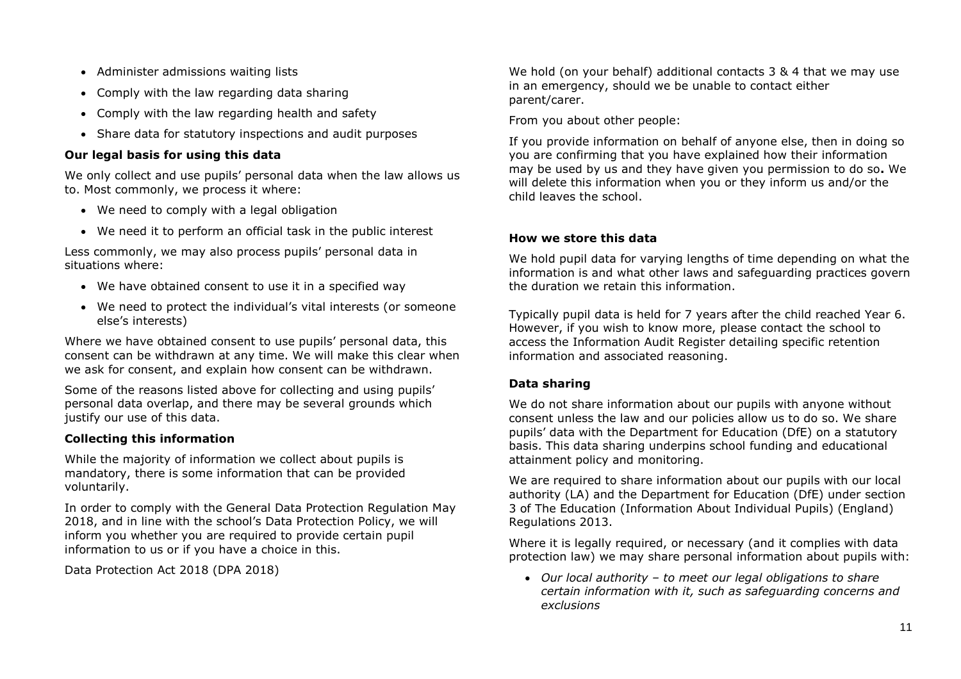- Administer admissions waiting lists
- Comply with the law regarding data sharing
- Comply with the law regarding health and safety
- Share data for statutory inspections and audit purposes

# **Our legal basis for using this data**

We only collect and use pupils' personal data when the law allows us to. Most commonly, we process it where:

- We need to comply with a legal obligation
- We need it to perform an official task in the public interest

Less commonly, we may also process pupils' personal data in situations where:

- We have obtained consent to use it in a specified way
- We need to protect the individual's vital interests (or someone else's interests)

Where we have obtained consent to use pupils' personal data, this consent can be withdrawn at any time. We will make this clear when we ask for consent, and explain how consent can be withdrawn.

Some of the reasons listed above for collecting and using pupils' personal data overlap, and there may be several grounds which justify our use of this data.

# **Collecting this information**

While the majority of information we collect about pupils is mandatory, there is some information that can be provided voluntarily.

In order to comply with the General Data Protection Regulation May 2018, and in line with the school's Data Protection Policy, we will inform you whether you are required to provide certain pupil information to us or if you have a choice in this.

Data Protection Act 2018 (DPA 2018)

We hold (on your behalf) additional contacts 3 & 4 that we may use in an emergency, should we be unable to contact either parent/carer.

From you about other people:

If you provide information on behalf of anyone else, then in doing so you are confirming that you have explained how their information may be used by us and they have given you permission to do so**.** We will delete this information when you or they inform us and/or the child leaves the school.

## **How we store this data**

We hold pupil data for varying lengths of time depending on what the information is and what other laws and safeguarding practices govern the duration we retain this information.

Typically pupil data is held for 7 years after the child reached Year 6. However, if you wish to know more, please contact the school to access the Information Audit Register detailing specific retention information and associated reasoning.

## **Data sharing**

We do not share information about our pupils with anyone without consent unless the law and our policies allow us to do so. We share pupils' data with the Department for Education (DfE) on a statutory basis. This data sharing underpins school funding and educational attainment policy and monitoring.

We are required to share information about our pupils with our local authority (LA) and the Department for Education (DfE) under section 3 of The Education (Information About Individual Pupils) (England) Regulations 2013.

Where it is legally required, or necessary (and it complies with data protection law) we may share personal information about pupils with:

 *Our local authority – to meet our legal obligations to share certain information with it, such as safeguarding concerns and exclusions*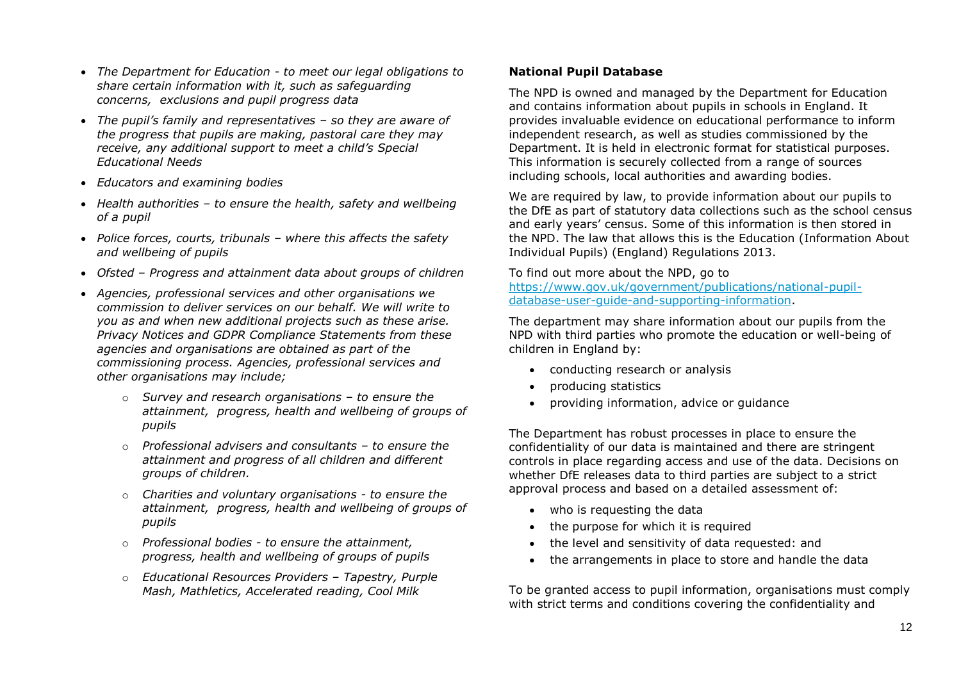- *The Department for Education - to meet our legal obligations to share certain information with it, such as safeguarding concerns, exclusions and pupil progress data*
- *The pupil's family and representatives – so they are aware of the progress that pupils are making, pastoral care they may receive, any additional support to meet a child's Special Educational Needs*
- *Educators and examining bodies*
- *Health authorities – to ensure the health, safety and wellbeing of a pupil*
- *Police forces, courts, tribunals – where this affects the safety and wellbeing of pupils*
- *Ofsted – Progress and attainment data about groups of children*
- *Agencies, professional services and other organisations we commission to deliver services on our behalf. We will write to you as and when new additional projects such as these arise. Privacy Notices and GDPR Compliance Statements from these agencies and organisations are obtained as part of the commissioning process. Agencies, professional services and other organisations may include;*
	- o *Survey and research organisations – to ensure the attainment, progress, health and wellbeing of groups of pupils*
	- o *Professional advisers and consultants – to ensure the attainment and progress of all children and different groups of children.*
	- o *Charities and voluntary organisations - to ensure the attainment, progress, health and wellbeing of groups of pupils*
	- o *Professional bodies - to ensure the attainment, progress, health and wellbeing of groups of pupils*
	- o *Educational Resources Providers – Tapestry, Purple Mash, Mathletics, Accelerated reading, Cool Milk*

#### **National Pupil Database**

The NPD is owned and managed by the Department for Education and contains information about pupils in schools in England. It provides invaluable evidence on educational performance to inform independent research, as well as studies commissioned by the Department. It is held in electronic format for statistical purposes. This information is securely collected from a range of sources including schools, local authorities and awarding bodies.

We are required by law, to provide information about our pupils to the DfE as part of statutory data collections such as the school census and early years' census. Some of this information is then stored in the NPD. The law that allows this is the Education (Information About Individual Pupils) (England) Regulations 2013.

To find out more about the NPD, go to [https://www.gov.uk/government/publications/national-pupil](https://www.gov.uk/government/publications/national-pupil-database-user-guide-and-supporting-information)[database-user-guide-and-supporting-information.](https://www.gov.uk/government/publications/national-pupil-database-user-guide-and-supporting-information)

The department may share information about our pupils from the NPD with third parties who promote the education or well-being of children in England by:

- conducting research or analysis
- producing statistics
- providing information, advice or guidance

The Department has robust processes in place to ensure the confidentiality of our data is maintained and there are stringent controls in place regarding access and use of the data. Decisions on whether DfE releases data to third parties are subject to a strict approval process and based on a detailed assessment of:

- who is requesting the data
- the purpose for which it is required
- the level and sensitivity of data requested: and
- the arrangements in place to store and handle the data

To be granted access to pupil information, organisations must comply with strict terms and conditions covering the confidentiality and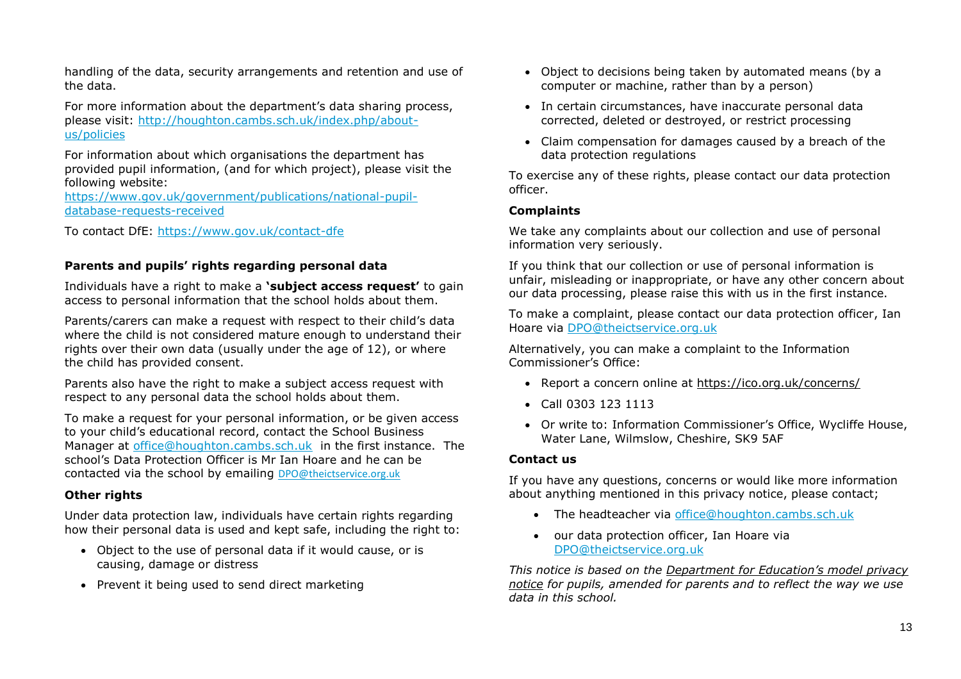handling of the data, security arrangements and retention and use of the data.

For more information about the department's data sharing process, please visit: [http://houghton.cambs.sch.uk/index.php/about](http://houghton.cambs.sch.uk/index.php/about-us/policies)[us/policies](http://houghton.cambs.sch.uk/index.php/about-us/policies)

For information about which organisations the department has provided pupil information, (and for which project), please visit the following website:

[https://www.gov.uk/government/publications/national-pupil](https://www.gov.uk/government/publications/national-pupil-database-requests-received)[database-requests-received](https://www.gov.uk/government/publications/national-pupil-database-requests-received)

To contact DfE:<https://www.gov.uk/contact-dfe>

# **Parents and pupils' rights regarding personal data**

Individuals have a right to make a **'subject access request'** to gain access to personal information that the school holds about them.

Parents/carers can make a request with respect to their child's data where the child is not considered mature enough to understand their rights over their own data (usually under the age of 12), or where the child has provided consent.

Parents also have the right to make a subject access request with respect to any personal data the school holds about them.

To make a request for your personal information, or be given access to your child's educational record, contact the School Business Manager at [office@houghton.cambs.sch.uk](mailto:office@houghton.cambs.sch.uk) in the first instance. The school's Data Protection Officer is Mr Ian Hoare and he can be contacted via the school by emailing [DPO@theictservice.org.uk](mailto:DPO@theictservice.org.uk)

# **Other rights**

Under data protection law, individuals have certain rights regarding how their personal data is used and kept safe, including the right to:

- Object to the use of personal data if it would cause, or is causing, damage or distress
- Prevent it being used to send direct marketing
- Object to decisions being taken by automated means (by a computer or machine, rather than by a person)
- In certain circumstances, have inaccurate personal data corrected, deleted or destroyed, or restrict processing
- Claim compensation for damages caused by a breach of the data protection regulations

To exercise any of these rights, please contact our data protection officer.

## **Complaints**

We take any complaints about our collection and use of personal information very seriously.

If you think that our collection or use of personal information is unfair, misleading or inappropriate, or have any other concern about our data processing, please raise this with us in the first instance.

To make a complaint, please contact our data protection officer, Ian Hoare via [DPO@theictservice.org.uk](mailto:DPO@theictservice.org.uk)

Alternatively, you can make a complaint to the Information Commissioner's Office:

- Report a concern online at<https://ico.org.uk/concerns/>
- Call 0303 123 1113
- Or write to: Information Commissioner's Office, Wycliffe House, Water Lane, Wilmslow, Cheshire, SK9 5AF

## **Contact us**

If you have any questions, concerns or would like more information about anything mentioned in this privacy notice, please contact;

- The headteacher via [office@houghton.cambs.sch.uk](mailto:office@houghton.cambs.sch.uk)
- our data protection officer, Ian Hoare via [DPO@theictservice.org.uk](mailto:DPO@theictservice.org.uk)

*This notice is based on the [Department for Education's model privacy](https://www.gov.uk/government/publications/data-protection-and-privacy-privacy-notices)  [notice](https://www.gov.uk/government/publications/data-protection-and-privacy-privacy-notices) for pupils, amended for parents and to reflect the way we use data in this school.*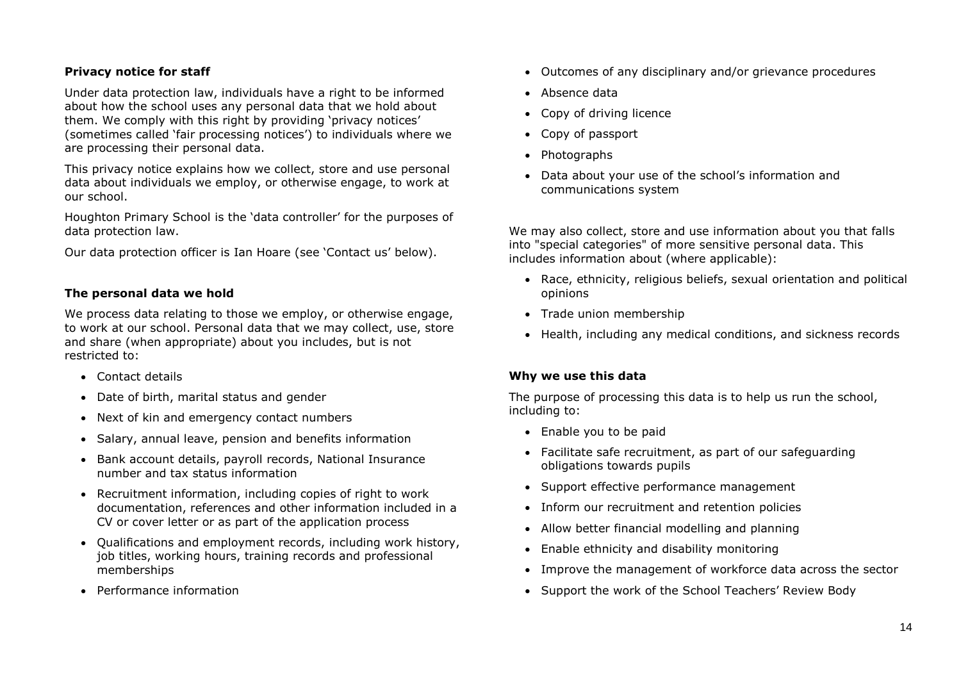## **Privacy notice for staff**

Under data protection law, individuals have a right to be informed about how the school uses any personal data that we hold about them. We comply with this right by providing 'privacy notices' (sometimes called 'fair processing notices') to individuals where we are processing their personal data.

This privacy notice explains how we collect, store and use personal data about individuals we employ, or otherwise engage, to work at our school.

Houghton Primary School is the 'data controller' for the purposes of data protection law.

Our data protection officer is Ian Hoare (see 'Contact us' below).

## **The personal data we hold**

We process data relating to those we employ, or otherwise engage, to work at our school. Personal data that we may collect, use, store and share (when appropriate) about you includes, but is not restricted to:

- Contact details
- Date of birth, marital status and gender
- Next of kin and emergency contact numbers
- Salary, annual leave, pension and benefits information
- Bank account details, payroll records, National Insurance number and tax status information
- Recruitment information, including copies of right to work documentation, references and other information included in a CV or cover letter or as part of the application process
- Qualifications and employment records, including work history, job titles, working hours, training records and professional memberships
- Performance information
- Outcomes of any disciplinary and/or grievance procedures
- Absence data
- Copy of driving licence
- Copy of passport
- Photographs
- Data about your use of the school's information and communications system

We may also collect, store and use information about you that falls into "special categories" of more sensitive personal data. This includes information about (where applicable):

- Race, ethnicity, religious beliefs, sexual orientation and political opinions
- Trade union membership
- Health, including any medical conditions, and sickness records

#### **Why we use this data**

The purpose of processing this data is to help us run the school, including to:

- Enable you to be paid
- Facilitate safe recruitment, as part of our safeguarding obligations towards pupils
- Support effective performance management
- Inform our recruitment and retention policies
- Allow better financial modelling and planning
- Enable ethnicity and disability monitoring
- Improve the management of workforce data across the sector
- Support the work of the School Teachers' Review Body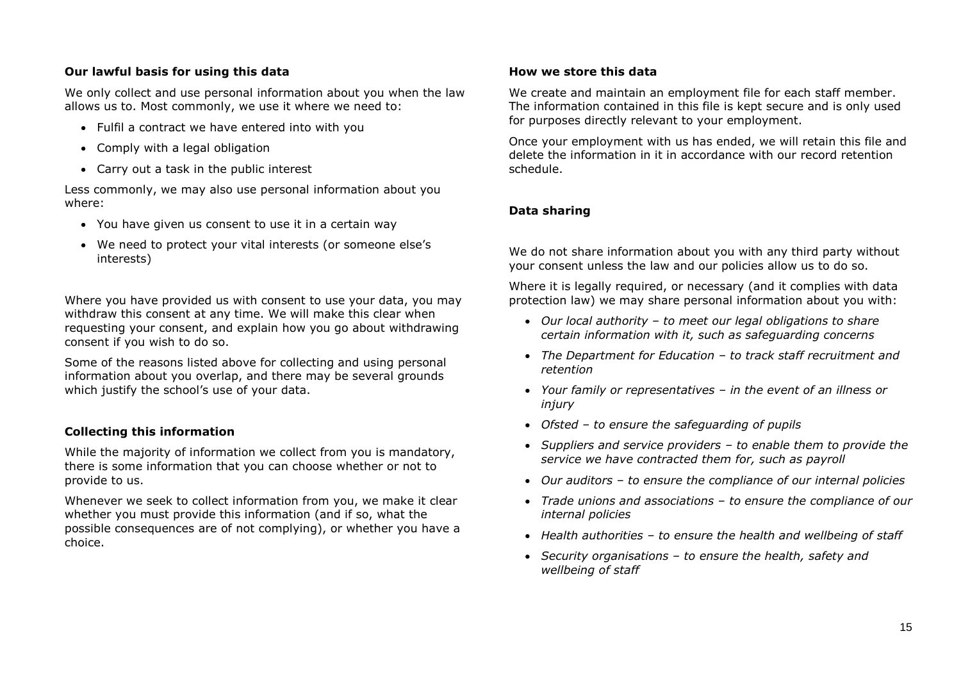# **Our lawful basis for using this data**

We only collect and use personal information about you when the law allows us to. Most commonly, we use it where we need to:

- Fulfil a contract we have entered into with you
- Comply with a legal obligation
- Carry out a task in the public interest

Less commonly, we may also use personal information about you where:

- You have given us consent to use it in a certain way
- We need to protect your vital interests (or someone else's interests)

Where you have provided us with consent to use your data, you may withdraw this consent at any time. We will make this clear when requesting your consent, and explain how you go about withdrawing consent if you wish to do so.

Some of the reasons listed above for collecting and using personal information about you overlap, and there may be several grounds which justify the school's use of your data.

## **Collecting this information**

While the majority of information we collect from you is mandatory, there is some information that you can choose whether or not to provide to us.

Whenever we seek to collect information from you, we make it clear whether you must provide this information (and if so, what the possible consequences are of not complying), or whether you have a choice.

#### **How we store this data**

We create and maintain an employment file for each staff member. The information contained in this file is kept secure and is only used for purposes directly relevant to your employment.

Once your employment with us has ended, we will retain this file and delete the information in it in accordance with our record retention schedule.

# **Data sharing**

We do not share information about you with any third party without your consent unless the law and our policies allow us to do so.

Where it is legally required, or necessary (and it complies with data protection law) we may share personal information about you with:

- *Our local authority – to meet our legal obligations to share certain information with it, such as safeguarding concerns*
- *The Department for Education – to track staff recruitment and retention*
- *Your family or representatives – in the event of an illness or injury*
- *Ofsted – to ensure the safeguarding of pupils*
- *Suppliers and service providers – to enable them to provide the service we have contracted them for, such as payroll*
- *Our auditors – to ensure the compliance of our internal policies*
- *Trade unions and associations – to ensure the compliance of our internal policies*
- *Health authorities – to ensure the health and wellbeing of staff*
- *Security organisations – to ensure the health, safety and wellbeing of staff*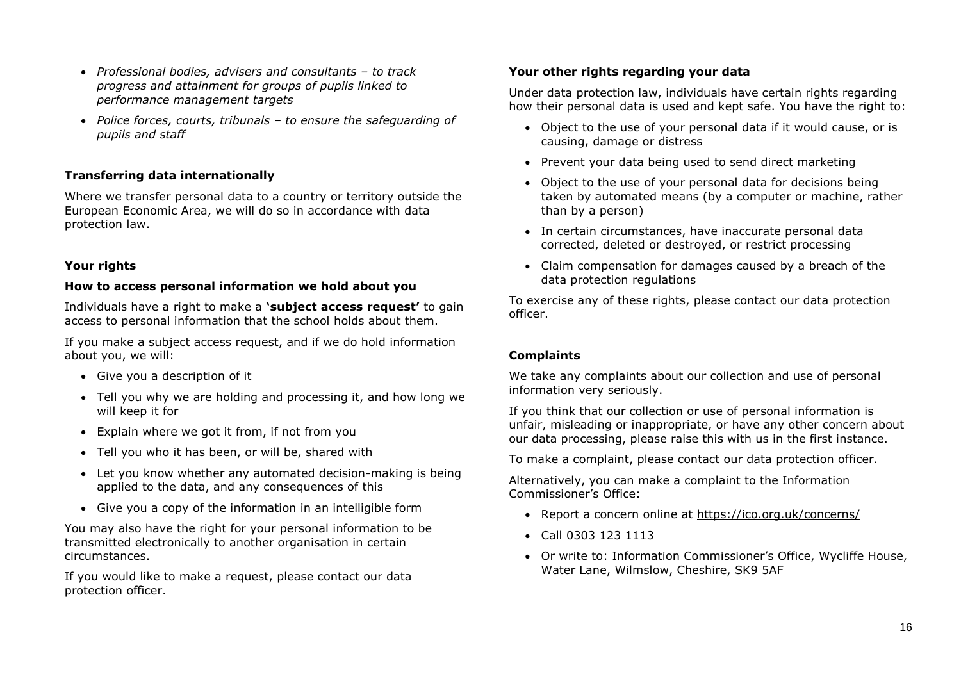- *Professional bodies, advisers and consultants – to track progress and attainment for groups of pupils linked to performance management targets*
- *Police forces, courts, tribunals – to ensure the safeguarding of pupils and staff*

# **Transferring data internationally**

Where we transfer personal data to a country or territory outside the European Economic Area, we will do so in accordance with data protection law.

## **Your rights**

#### **How to access personal information we hold about you**

Individuals have a right to make a **'subject access request'** to gain access to personal information that the school holds about them.

If you make a subject access request, and if we do hold information about you, we will:

- Give you a description of it
- Tell you why we are holding and processing it, and how long we will keep it for
- Explain where we got it from, if not from you
- Tell you who it has been, or will be, shared with
- Let you know whether any automated decision-making is being applied to the data, and any consequences of this
- Give you a copy of the information in an intelligible form

You may also have the right for your personal information to be transmitted electronically to another organisation in certain circumstances.

If you would like to make a request, please contact our data protection officer.

# **Your other rights regarding your data**

Under data protection law, individuals have certain rights regarding how their personal data is used and kept safe. You have the right to:

- Object to the use of your personal data if it would cause, or is causing, damage or distress
- Prevent your data being used to send direct marketing
- Object to the use of your personal data for decisions being taken by automated means (by a computer or machine, rather than by a person)
- In certain circumstances, have inaccurate personal data corrected, deleted or destroyed, or restrict processing
- Claim compensation for damages caused by a breach of the data protection regulations

To exercise any of these rights, please contact our data protection officer.

## **Complaints**

We take any complaints about our collection and use of personal information very seriously.

If you think that our collection or use of personal information is unfair, misleading or inappropriate, or have any other concern about our data processing, please raise this with us in the first instance.

To make a complaint, please contact our data protection officer.

Alternatively, you can make a complaint to the Information Commissioner's Office:

- Report a concern online at<https://ico.org.uk/concerns/>
- Call 0303 123 1113
- Or write to: Information Commissioner's Office, Wycliffe House, Water Lane, Wilmslow, Cheshire, SK9 5AF